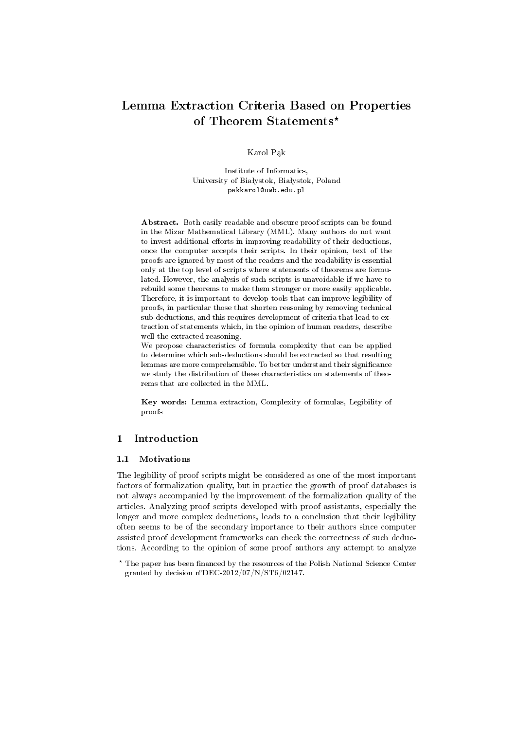# Lemma Extraction Criteria Based on Properties of Theorem Statements\*

Karol Pak

Institute of Informatics, University of Białystok, Białystok, Poland pakkarol@uwb.edu.pl

Abstract. Both easily readable and obscure proof scripts can be found in the Mizar Mathematical Library (MML). Many authors do not want to invest additional efforts in improving readability of their deductions, once the computer accepts their scripts. In their opinion, text of the proofs are ignored by most of the readers and the readability is essential only at the top level of scripts where statements of theorems are formulated. However, the analysis of such scripts is unavoidable if we have to rebuild some theorems to make them stronger or more easily applicable. Therefore, it is important to develop tools that can improve legibility of proofs, in particular those that shorten reasoning by removing technical sub-deductions, and this requires development of criteria that lead to extraction of statements which, in the opinion of human readers, describe well the extracted reasoning.

We propose characteristics of formula complexity that can be applied to determine which sub-deductions should be extracted so that resulting lemmas are more comprehensible. To better understand their significance we study the distribution of these characteristics on statements of theorems that are collected in the MML.

Key words: Lemma extraction, Complexity of formulas, Legibility of proofs

# 1 Introduction

### 1.1 Motivations

The legibility of proof scripts might be considered as one of the most important factors of formalization quality, but in practice the growth of proof databases is not always accompanied by the improvement of the formalization quality of the articles. Analyzing proof scripts developed with proof assistants, especially the longer and more complex deductions, leads to a conclusion that their legibility often seems to be of the secondary importance to their authors since computer assisted proof development frameworks can check the correctness of such deductions. According to the opinion of some proof authors any attempt to analyze

 $^\star$  The paper has been financed by the resources of the Polish National Science Center granted by decision n◦DEC-2012/07/N/ST6/02147.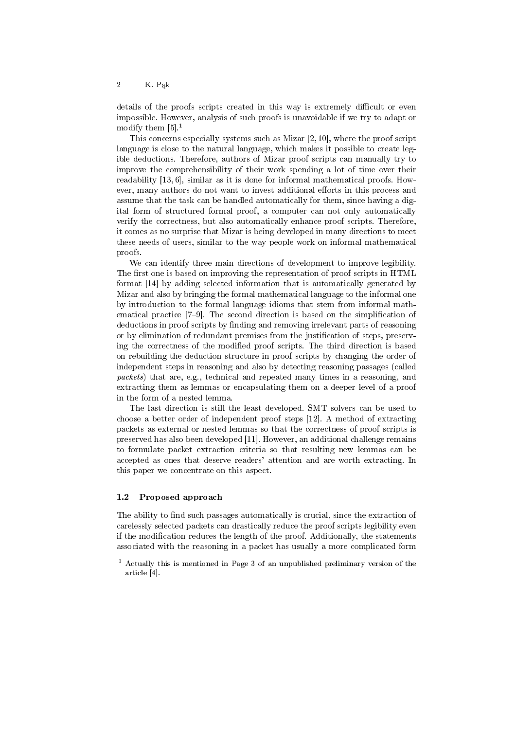### 2 K. Pąk

details of the proofs scripts created in this way is extremely difficult or even impossible. However, analysis of such proofs is unavoidable if we try to adapt or modify them  $[5]$ <sup>1</sup>

This concerns especially systems such as Mizar [2, 10], where the proof script language is close to the natural language, which makes it possible to create legible deductions. Therefore, authors of Mizar proof scripts can manually try to improve the comprehensibility of their work spending a lot of time over their readability [13, 6], similar as it is done for informal mathematical proofs. However, many authors do not want to invest additional efforts in this process and assume that the task can be handled automatically for them, since having a digital form of structured formal proof, a computer can not only automatically verify the correctness, but also automatically enhance proof scripts. Therefore, it comes as no surprise that Mizar is being developed in many directions to meet these needs of users, similar to the way people work on informal mathematical proofs.

We can identify three main directions of development to improve legibility. The first one is based on improving the representation of proof scripts in HTML format [14] by adding selected information that is automatically generated by Mizar and also by bringing the formal mathematical language to the informal one by introduction to the formal language idioms that stem from informal mathematical practice [7-9]. The second direction is based on the simplification of deductions in proof scripts by finding and removing irrelevant parts of reasoning or by elimination of redundant premises from the justification of steps, preserving the correctness of the modified proof scripts. The third direction is based on rebuilding the deduction structure in proof scripts by changing the order of independent steps in reasoning and also by detecting reasoning passages (called packets) that are, e.g., technical and repeated many times in a reasoning, and extracting them as lemmas or encapsulating them on a deeper level of a proof in the form of a nested lemma.

The last direction is still the least developed. SMT solvers can be used to choose a better order of independent proof steps [12]. A method of extracting packets as external or nested lemmas so that the correctness of proof scripts is preserved has also been developed [11]. However, an additional challenge remains to formulate packet extraction criteria so that resulting new lemmas can be accepted as ones that deserve readers' attention and are worth extracting. In this paper we concentrate on this aspect.

### 1.2 Proposed approach

The ability to find such passages automatically is crucial, since the extraction of carelessly selected packets can drastically reduce the proof scripts legibility even if the modification reduces the length of the proof. Additionally, the statements associated with the reasoning in a packet has usually a more complicated form

<sup>1</sup> Actually this is mentioned in Page 3 of an unpublished preliminary version of the article [4].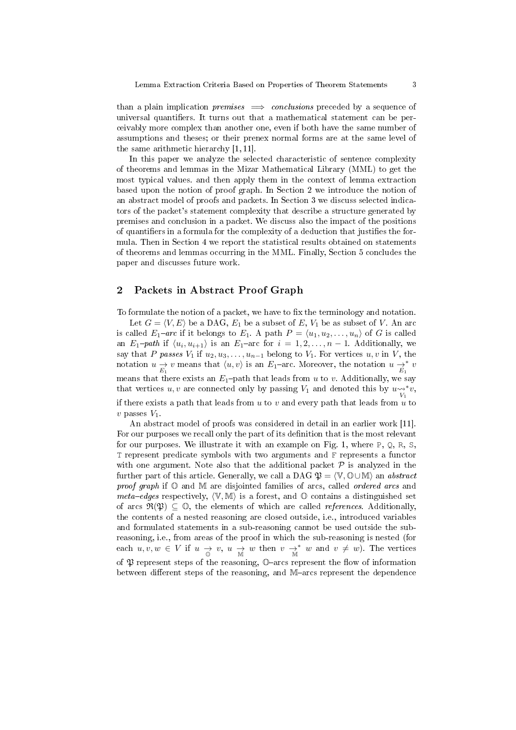than a plain implication *premises*  $\implies$  *conclusions* preceded by a sequence of universal quantifiers. It turns out that a mathematical statement can be perceivably more complex than another one, even if both have the same number of assumptions and theses; or their prenex normal forms are at the same level of the same arithmetic hierarchy [1, 11].

In this paper we analyze the selected characteristic of sentence complexity of theorems and lemmas in the Mizar Mathematical Library (MML) to get the most typical values. and then apply them in the context of lemma extraction based upon the notion of proof graph. In Section 2 we introduce the notion of an abstract model of proofs and packets. In Section 3 we discuss selected indicators of the packet's statement complexity that describe a structure generated by premises and conclusion in a packet. We discuss also the impact of the positions of quantifiers in a formula for the complexity of a deduction that justifies the formula. Then in Section 4 we report the statistical results obtained on statements of theorems and lemmas occurring in the MML. Finally, Section 5 concludes the paper and discusses future work.

## 2 Packets in Abstract Proof Graph

To formulate the notion of a packet, we have to fix the terminology and notation.

Let  $G = \langle V, E \rangle$  be a DAG,  $E_1$  be a subset of E,  $V_1$  be as subset of V. An arc is called  $E_1$ -arc if it belongs to  $E_1$ . A path  $P = \langle u_1, u_2, \ldots, u_n \rangle$  of G is called an  $E_1$ -path if  $\langle u_i, u_{i+1} \rangle$  is an  $E_1$ -arc for  $i = 1, 2, ..., n - 1$ . Additionally, we say that P passes  $V_1$  if  $u_2, u_3, \ldots, u_{n-1}$  belong to  $V_1$ . For vertices  $u, v$  in V, the notation  $u \to v$  means that  $\langle u, v \rangle$  is an  $E_1$ -arc. Moreover, the notation  $u \to v$ <sup>\*</sup>  $E_1$ <sup>\*</sup> means that there exists an  $E_1$ -path that leads from u to v. Additionally, we say that vertices  $u, v$  are connected only by passing  $V_1$  and denoted this by  $u_{\widetilde{V}_1}^{\sim,*}v$ , if there exists a path that leads from  $u$  to  $v$  and every path that leads from  $u$  to  $v$  passes  $V_1$ .

An abstract model of proofs was considered in detail in an earlier work [11]. For our purposes we recall only the part of its definition that is the most relevant for our purposes. We illustrate it with an example on Fig. 1, where  $P$ ,  $Q$ ,  $R$ ,  $S$ . T represent predicate symbols with two arguments and F represents a functor with one argument. Note also that the additional packet  $P$  is analyzed in the further part of this article. Generally, we call a DAG  $\mathfrak{P} = \langle \mathbb{V}, \mathbb{O} \cup \mathbb{M} \rangle$  an abstract proof graph if  $\mathbb{O}$  and  $\mathbb{M}$  are disjointed families of arcs, called *ordered arcs* and meta-edges respectively,  $\langle V, M \rangle$  is a forest, and  $\mathbb O$  contains a distinguished set of arcs  $\mathfrak{R}(\mathfrak{P}) \subseteq \mathbb{O}$ , the elements of which are called *references*. Additionally, the contents of a nested reasoning are closed outside, i.e., introduced variables and formulated statements in a sub-reasoning cannot be used outside the subreasoning, i.e., from areas of the proof in which the sub-reasoning is nested (for each  $u, v, w \in V$  if  $u \to v, u \to w$  then  $v \to^* w$  and  $v \neq w$ ). The vertices of  $\mathfrak P$  represent steps of the reasoning,  $\mathbb O$ -arcs represent the flow of information between different steps of the reasoning, and M-arcs represent the dependence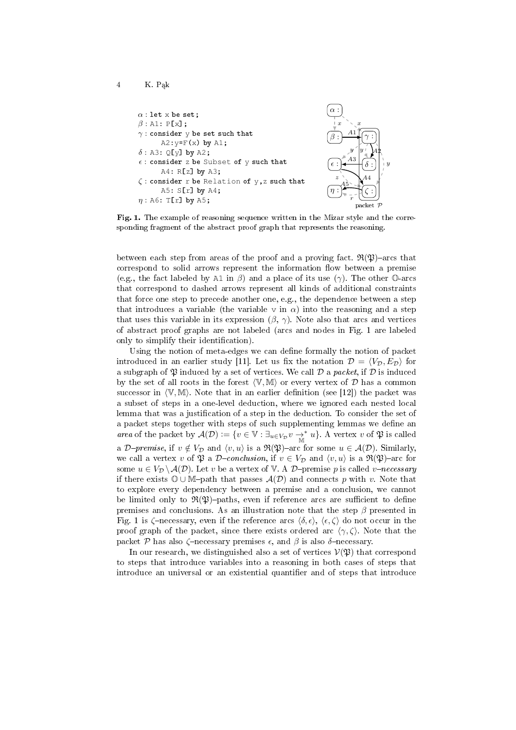

4 K. Pak

Fig. 1. The example of reasoning sequence written in the Mizar style and the corresponding fragment of the abstract proof graph that represents the reasoning.

 $\overline{y}$ 

between each step from areas of the proof and a proving fact.  $\mathfrak{R}(\mathfrak{P})$ -arcs that correspond to solid arrows represent the information flow between a premise (e.g., the fact labeled by A1 in  $\beta$ ) and a place of its use ( $\gamma$ ). The other  $\mathbb{O}$ -arcs that correspond to dashed arrows represent all kinds of additional constraints that force one step to precede another one, e.g., the dependence between a step that introduces a variable (the variable v in  $\alpha$ ) into the reasoning and a step that uses this variable in its expression  $(\beta, \gamma)$ . Note also that arcs and vertices of abstract proof graphs are not labeled (arcs and nodes in Fig. 1 are labeled only to simplify their identification).

Using the notion of meta-edges we can define formally the notion of packet introduced in an earlier study [11]. Let us fix the notation  $\mathcal{D} = \langle V_{\mathcal{D}}, E_{\mathcal{D}} \rangle$  for a subgraph of  $\mathfrak P$  induced by a set of vertices. We call  $\mathcal D$  a packet, if  $\mathcal D$  is induced by the set of all roots in the forest  $\langle V, M \rangle$  or every vertex of D has a common successor in  $\langle V, M \rangle$ . Note that in an earlier definition (see [12]) the packet was a subset of steps in a one-level deduction, where we ignored each nested local lemma that was a justification of a step in the deduction. To consider the set of a packet steps together with steps of such supplementing lemmas we define an area of the packet by  $\mathcal{A}(\mathcal{D}) := \{v \in \mathbb{V} : \exists_{u \in V_{\mathcal{D}}} v \to^* u\}.$  A vertex v of  $\mathfrak{P}$  is called a D-premise, if  $v \notin V_{\mathcal{D}}$  and  $\langle v, u \rangle$  is a  $\mathfrak{R}(\mathfrak{P})$ -arc for some  $u \in \mathcal{A}(\mathcal{D})$ . Similarly, we call a vertex v of  $\mathfrak P$  a D-conclusion, if  $v \in V_{\mathcal D}$  and  $\langle v, u \rangle$  is a  $\mathfrak R(\mathfrak P)$ -arc for some  $u \in V_{\mathcal{D}} \backslash \mathcal{A}(\mathcal{D})$ . Let v be a vertex of V. A D-premise p is called v-necessary if there exists  $\mathbb{O} \cup \mathbb{M}$ -path that passes  $\mathcal{A}(\mathcal{D})$  and connects p with v. Note that to explore every dependency between a premise and a conclusion, we cannot be limited only to  $\mathfrak{R}(\mathfrak{P})$ -paths, even if reference arcs are sufficient to define premises and conclusions. As an illustration note that the step  $\beta$  presented in Fig. 1 is  $\zeta$ -necessary, even if the reference arcs  $\langle \delta, \epsilon \rangle$ ,  $\langle \epsilon, \zeta \rangle$  do not occur in the proof graph of the packet, since there exists ordered arc  $\langle \gamma, \zeta \rangle$ . Note that the packet P has also  $\zeta$ -necessary premises  $\epsilon$ , and  $\beta$  is also  $\delta$ -necessary.

In our research, we distinguished also a set of vertices  $V(\mathfrak{P})$  that correspond to steps that introduce variables into a reasoning in both cases of steps that introduce an universal or an existential quantifier and of steps that introduce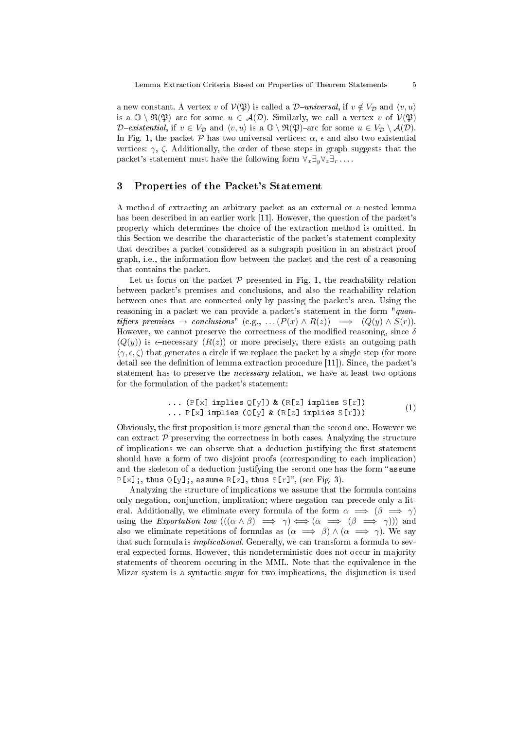a new constant. A vertex v of  $V(\mathfrak{P})$  is called a D-universal, if  $v \notin V_{\mathcal{D}}$  and  $\langle v, u \rangle$ is a  $\mathbb{O} \setminus \mathfrak{R}(\mathfrak{P})$ -arc for some  $u \in \mathcal{A}(\mathcal{D})$ . Similarly, we call a vertex v of  $\mathcal{V}(\mathfrak{P})$ D-existential, if  $v \in V_{\mathcal{D}}$  and  $\langle v, u \rangle$  is a  $\mathbb{O} \setminus \mathfrak{R}(\mathfrak{P})$ -arc for some  $u \in V_{\mathcal{D}} \setminus \mathcal{A}(\mathcal{D})$ . In Fig. 1, the packet  $\mathcal P$  has two universal vertices:  $\alpha$ ,  $\epsilon$  and also two existential vertices:  $\gamma$ ,  $\zeta$ . Additionally, the order of these steps in graph suggests that the packet's statement must have the following form  $\forall_x \exists_y \forall_z \exists_r \ldots$ 

# 3 Properties of the Packet's Statement

A method of extracting an arbitrary packet as an external or a nested lemma has been described in an earlier work [11]. However, the question of the packet's property which determines the choice of the extraction method is omitted. In this Section we describe the characteristic of the packet's statement complexity that describes a packet considered as a subgraph position in an abstract proof graph, i.e., the information flow between the packet and the rest of a reasoning that contains the packet.

Let us focus on the packet  $P$  presented in Fig. 1, the reachability relation between packet's premises and conclusions, and also the reachability relation between ones that are connected only by passing the packet's area. Using the reasoning in a packet we can provide a packet's statement in the form " $quan$ tifiers premises  $\rightarrow$  conclusions" (e.g., ...  $(P(x) \wedge R(z)) \implies (Q(y) \wedge S(r))$ . However, we cannot preserve the correctness of the modified reasoning, since  $\delta$  $(Q(y))$  is  $\epsilon$ -necessary  $(R(z))$  or more precisely, there exists an outgoing path  $\langle \gamma, \epsilon, \zeta \rangle$  that generates a circle if we replace the packet by a single step (for more detail see the definition of lemma extraction procedure  $[11]$ ). Since, the packet's statement has to preserve the necessary relation, we have at least two options for the formulation of the packet's statement:

... (P[x] implies Q[y]) & (R[z] implies S[r]) ... P[x] implies (Q[y] & (R[z] implies <sup>S</sup>[r])) (1)

Obviously, the first proposition is more general than the second one. However we can extract  $\mathcal P$  preserving the correctness in both cases. Analyzing the structure of implications we can observe that a deduction justifying the first statement should have a form of two disjoint proofs (corresponding to each implication) and the skeleton of a deduction justifying the second one has the form "assume  $P[x]$ ;, thus  $Q[y]$ ;, assume R[z], thus S[r]", (see Fig. 3).

Analyzing the structure of implications we assume that the formula contains only negation, conjunction, implication; where negation can precede only a literal. Additionally, we eliminate every formula of the form  $\alpha \implies (\beta \implies \gamma)$ using the Exportation low  $(((\alpha \wedge \beta) \implies \gamma) \Longleftrightarrow (\alpha \implies (\beta \implies \gamma)))$  and also we eliminate repetitions of formulas as  $(\alpha \implies \beta) \wedge (\alpha \implies \gamma)$ . We say that such formula is implicational. Generally, we can transform a formula to several expected forms. However, this nondeterministic does not occur in majority statements of theorem occuring in the MML. Note that the equivalence in the Mizar system is a syntactic sugar for two implications, the disjunction is used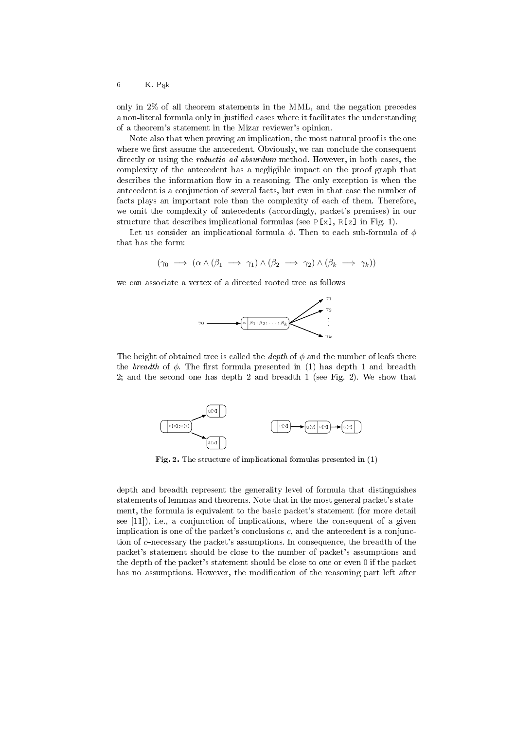$6$  K. Pąk

only in 2% of all theorem statements in the MML, and the negation precedes a non-literal formula only in justified cases where it facilitates the understanding of a theorem's statement in the Mizar reviewer's opinion.

Note also that when proving an implication, the most natural proof is the one where we first assume the antecedent. Obviously, we can conclude the consequent directly or using the *reductio ad absurdum* method. However, in both cases, the complexity of the antecedent has a negligible impact on the proof graph that describes the information flow in a reasoning. The only exception is when the antecedent is a conjunction of several facts, but even in that case the number of facts plays an important role than the complexity of each of them. Therefore, we omit the complexity of antecedents (accordingly, packet's premises) in our structure that describes implicational formulas (see  $P[x]$ ,  $R[z]$  in Fig. 1).

Let us consider an implicational formula  $\phi$ . Then to each sub-formula of  $\phi$ that has the form:

$$
(\gamma_0 \implies (\alpha \land (\beta_1 \implies \gamma_1) \land (\beta_2 \implies \gamma_2) \land (\beta_k \implies \gamma_k))
$$

we can associate a vertex of a directed rooted tree as follows



The height of obtained tree is called the *depth* of  $\phi$  and the number of leafs there the breadth of  $\phi$ . The first formula presented in (1) has depth 1 and breadth 2; and the second one has depth 2 and breadth 1 (see Fig. 2). We show that



Fig. 2. The structure of implicational formulas presented in (1)

depth and breadth represent the generality level of formula that distinguishes statements of lemmas and theorems. Note that in the most general packet's statement, the formula is equivalent to the basic packet's statement (for more detail see [11]), i.e., a conjunction of implications, where the consequent of a given implication is one of the packet's conclusions  $c$ , and the antecedent is a conjunction of  $c$ -necessary the packet's assumptions. In consequence, the breadth of the packet's statement should be close to the number of packet's assumptions and the depth of the packet's statement should be close to one or even 0 if the packet has no assumptions. However, the modification of the reasoning part left after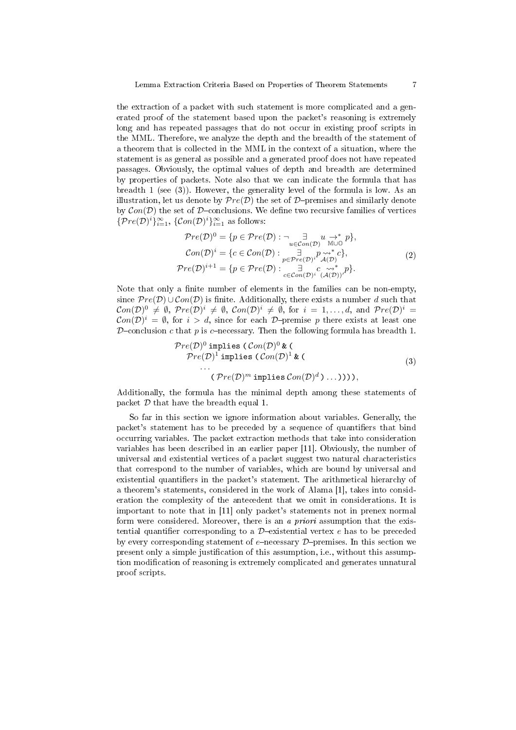the extraction of a packet with such statement is more complicated and a generated proof of the statement based upon the packet's reasoning is extremely long and has repeated passages that do not occur in existing proof scripts in the MML. Therefore, we analyze the depth and the breadth of the statement of a theorem that is collected in the MML in the context of a situation, where the statement is as general as possible and a generated proof does not have repeated passages. Obviously, the optimal values of depth and breadth are determined by properties of packets. Note also that we can indicate the formula that has breadth 1 (see (3)). However, the generality level of the formula is low. As an illustration, let us denote by  $Pre(D)$  the set of D-premises and similarly denote by  $Con(\mathcal{D})$  the set of D-conclusions. We define two recursive families of vertices  $\{Pre(\mathcal{D})^i\}_{i=1}^{\infty}, \, \{Con(\mathcal{D})^i\}_{i=1}^{\infty}$  as follows:

$$
\mathcal{P}re(\mathcal{D})^0 = \{p \in \mathcal{P}re(\mathcal{D}) : \neg \underset{u \in \mathcal{C}on(\mathcal{D})}{\exists} u \xrightarrow{\rightarrow^*} p\},
$$
  
\n
$$
\mathcal{C}on(\mathcal{D})^i = \{c \in \mathcal{C}on(\mathcal{D}) : \underset{p \in \mathcal{P}re(\mathcal{D})^i}{\exists} p \underset{\mathcal{A}(\mathcal{D})}{\rightsquigarrow^*} c\},
$$
  
\n
$$
\mathcal{P}re(\mathcal{D})^{i+1} = \{p \in \mathcal{P}re(\mathcal{D}) : \underset{c \in \mathcal{C}on(\mathcal{D})^i}{\exists} (p \underset{\mathcal{A}(\mathcal{D})}{\rightsquigarrow^*} p\}.
$$
\n(2)

Note that only a finite number of elements in the families can be non-empty, since  $Pre(\mathcal{D}) \cup Con(\mathcal{D})$  is finite. Additionally, there exists a number d such that  $Con(\mathcal{D})^0 \neq \emptyset$ ,  $Pre(\mathcal{D})^i \neq \emptyset$ ,  $Con(\mathcal{D})^i \neq \emptyset$ , for  $i = 1, ..., d$ , and  $Pre(\mathcal{D})^i =$  $Con(\mathcal{D})^i = \emptyset$ , for  $i > d$ , since for each  $\mathcal{D}$ -premise p there exists at least one D-conclusion c that p is c-necessary. Then the following formula has breadth 1.

$$
\begin{aligned} \mathcal{P}re(\mathcal{D})^0 \text{ implies } & (\mathcal{C}on(\mathcal{D})^0 \& (\mathcal{D})^1 \& (\mathcal{D})^1 \text{ implies } (\mathcal{C}on(\mathcal{D})^1 \& (\mathcal{D})^1 \& (\mathcal{D})^1 \& (\mathcal{D})^1 \& (\mathcal{D})^1 \& (\mathcal{D})^2 \& (\mathcal{D})^2 \& (\mathcal{D})^2 \& (\mathcal{D})^2 \& (\mathcal{D})^2 \& (\mathcal{D})^2 \& (\mathcal{D})^2 \& (\mathcal{D})^2 \& (\mathcal{D})^2 \& (\mathcal{D})^2 \& (\mathcal{D})^2 \& (\mathcal{D})^2 \& (\mathcal{D})^2 \& (\mathcal{D})^2 \& (\mathcal{D})^2 \& (\mathcal{D})^2 \& (\mathcal{D})^2 \& (\mathcal{D})^2 \& (\mathcal{D})^2 \& (\mathcal{D})^2 \& (\mathcal{D})^2 \& (\mathcal{D})^2 \& (\mathcal{D})^2 \& (\mathcal{D})^2 \& (\mathcal{D})^2 \& (\mathcal{D})^2 \& (\mathcal{D})^2 \& (\mathcal{D})^2 \& (\mathcal{D})^2 \& (\mathcal{D})^2 \& (\mathcal{D})^2 \& (\mathcal{D})^2 \& (\mathcal{D})^2 \& (\mathcal{D})^2 \& (\mathcal{D})^2 \& (\mathcal{D})^2 \& (\mathcal{D})^2 \& (\mathcal{D})^2 \& (\mathcal{D})^2 \& (\mathcal{D})^2 \& (\mathcal{D})^2 \& (\mathcal{D})^2 \& (\mathcal{D})^2 \& (\mathcal{D})^2 \& (\mathcal{D})^2 \& (\mathcal{D})^2 \& (\mathcal{D})^2 \& (\mathcal{D})^2 \& (\mathcal{D})^2 \& (\mathcal{D})^2 \& (\mathcal{D})^2 \& (\mathcal{D})^2 \
$$

Additionally, the formula has the minimal depth among these statements of packet  $D$  that have the breadth equal 1.

So far in this section we ignore information about variables. Generally, the packet's statement has to be preceded by a sequence of quantifiers that bind occurring variables. The packet extraction methods that take into consideration variables has been described in an earlier paper [11]. Obviously, the number of universal and existential vertices of a packet suggest two natural characteristics that correspond to the number of variables, which are bound by universal and existential quantifiers in the packet's statement. The arithmetical hierarchy of a theorem's statements, considered in the work of Alama [1], takes into consideration the complexity of the antecedent that we omit in considerations. It is important to note that in [11] only packet's statements not in prenex normal form were considered. Moreover, there is an a priori assumption that the existential quantifier corresponding to a  $\mathcal{D}-$ existential vertex e has to be preceded by every corresponding statement of  $e$ -necessary  $\mathcal{D}$ -premises. In this section we present only a simple justification of this assumption, i.e., without this assumption modification of reasoning is extremely complicated and generates unnatural proof scripts.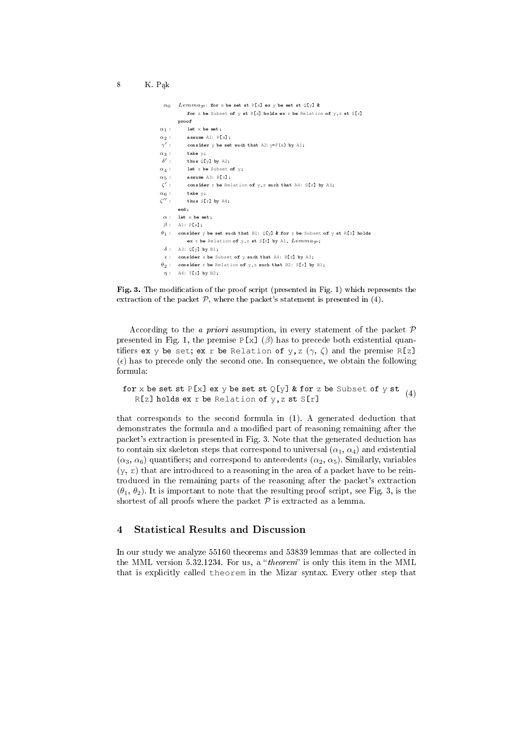```
\alpha_0 Lemmap: for x be set st P[x] ex y be set st Q[y] &
          for z be Subset of y st R[z] holds ex r be Relation of y, z st S[r]proof
\alpha_1 : let x be set
\alpha_2 : assume A1: P[x];
 \gamma'consider y be set such that A2: y=F(x) by A1;
\alpha_3 : take y;
 \delta'thus Q[y] by A2;
\alpha_4 : let z be Subset of y;
\alpha_5 : assume A3: R[z];
 \zeta'consider r be Relation of y, z such that A4: S[r] by A3;
\alpha_6 : take y:
\zeta":
          thus S[r] by A4;
       end;
 \alpha : let x be set;
 \beta: A1: P[x];
\theta_1: consider y be set such that B1: Q[y] & for z be Subset of y st R[z] holds
          ex r be Relation of y,z st S[r] by A1, Lemma_{\mathcal{P}};
 \delta: A3: Q[y] by B1;
 \epsilon: consider z be Subset of y such that A4: R[z] by A3;
\theta_2: consider r be Relation of y,z such that B2: S[r] by B1;
 n: A6: T[r] by B2;
```


According to the *a priori* assumption, in every statement of the packet  $\mathcal P$ presented in Fig. 1, the premise  $P[x] (\beta)$  has to precede both existential quantifiers ex y be set; ex r be Relation of y, z  $(\gamma, \zeta)$  and the premise R[z]  $(\epsilon)$  has to precede only the second one. In consequence, we obtain the following formula:

for x be set st  $P[x]$  ex y be set st  $Q[y]$  & for z be Subset of y st  $R[z]$  holds ex r be Relation of y, z st  $S[r]$ (4)

that corresponds to the second formula in (1). A generated deduction that demonstrates the formula and a modified part of reasoning remaining after the packet's extraction is presented in Fig. 3. Note that the generated deduction has to contain six skeleton steps that correspond to universal  $(\alpha_1, \alpha_4)$  and existential  $(\alpha_3, \alpha_6)$  quantifiers; and correspond to antecedents  $(\alpha_2, \alpha_5)$ . Similarly, variables  $(y, r)$  that are introduced to a reasoning in the area of a packet have to be reintroduced in the remaining parts of the reasoning after the packet's extraction  $(\theta_1, \theta_2)$ . It is important to note that the resulting proof script, see Fig. 3, is the shortest of all proofs where the packet  $P$  is extracted as a lemma.

# 4 Statistical Results and Discussion

In our study we analyze 55160 theorems and 53839 lemmas that are collected in the MML version 5.32.1234. For us, a "*theorem*" is only this item in the MML that is explicitly called theorem in the Mizar syntax. Every other step that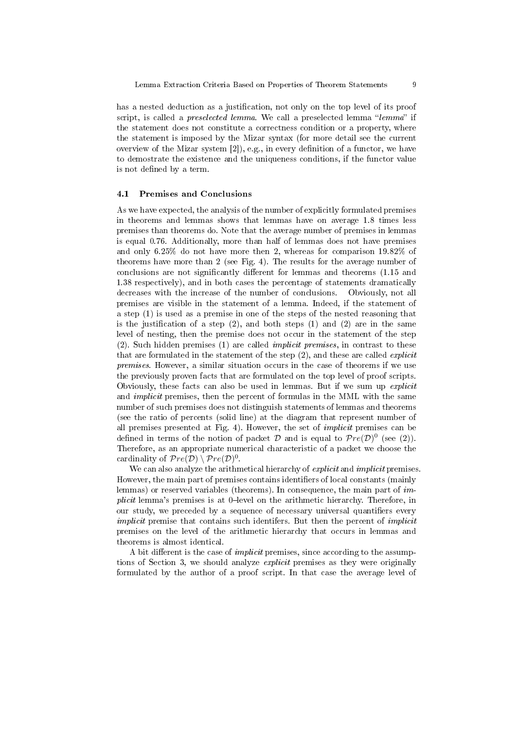has a nested deduction as a justification, not only on the top level of its proof script, is called a *preselected lemma*. We call a preselected lemma "lemma" if the statement does not constitute a correctness condition or a property, where the statement is imposed by the Mizar syntax (for more detail see the current overview of the Mizar system  $[2]$ , e.g., in every definition of a functor, we have to demostrate the existence and the uniqueness conditions, if the functor value is not defined by a term.

#### 4.1 Premises and Conclusions

As we have expected, the analysis of the number of explicitly formulated premises in theorems and lemmas shows that lemmas have on average 1.8 times less premises than theorems do. Note that the average number of premises in lemmas is equal 0.76. Additionally, more than half of lemmas does not have premises and only 6.25% do not have more then 2, whereas for comparison 19.82% of theorems have more than 2 (see Fig. 4). The results for the average number of conclusions are not significantly different for lemmas and theorems  $(1.15 \text{ and } 1.15)$ 1.38 respectively), and in both cases the percentage of statements dramatically decreases with the increase of the number of conclusions. Obviously, not all premises are visible in the statement of a lemma. Indeed, if the statement of a step (1) is used as a premise in one of the steps of the nested reasoning that is the justification of a step  $(2)$ , and both steps  $(1)$  and  $(2)$  are in the same level of nesting, then the premise does not occur in the statement of the step (2). Such hidden premises (1) are called implicit premises, in contrast to these that are formulated in the statement of the step (2), and these are called *explicit* premises. However, a similar situation occurs in the case of theorems if we use the previously proven facts that are formulated on the top level of proof scripts. Obviously, these facts can also be used in lemmas. But if we sum up explicit and implicit premises, then the percent of formulas in the MML with the same number of such premises does not distinguish statements of lemmas and theorems (see the ratio of percents (solid line) at the diagram that represent number of all premises presented at Fig. 4). However, the set of implicit premises can be defined in terms of the notion of packet  $\mathcal D$  and is equal to  $\mathcal Pre(\mathcal D)^0$  (see (2)). Therefore, as an appropriate numerical characteristic of a packet we choose the cardinality of  $Pre(D) \setminus Pre(D)^0$ .

We can also analyze the arithmetical hierarchy of *explicit* and *implicit* premises. However, the main part of premises contains identifiers of local constants (mainly lemmas) or reserved variables (theorems). In consequence, the main part of im*plicit* lemma's premises is at 0-level on the arithmetic hierarchy. Therefore, in our study, we preceded by a sequence of necessary universal quantifiers every implicit premise that contains such identifers. But then the percent of *implicit* premises on the level of the arithmetic hierarchy that occurs in lemmas and theorems is almost identical.

A bit different is the case of *implicit* premises, since according to the assumptions of Section 3, we should analyze explicit premises as they were originally formulated by the author of a proof script. In that case the average level of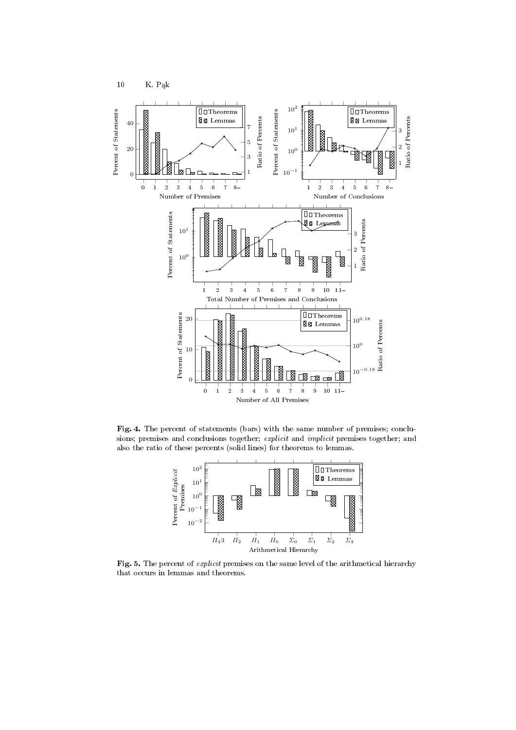

Fig. 4. The percent of statements (bars) with the same number of premises; conclusions; premises and conclusions together; explicit and implicit premises together; and also the ratio of these percents (solid lines) for theorems to lemmas.



Fig. 5. The percent of *explicit* premises on the same level of the arithmetical hierarchy that occurs in lemmas and theorems.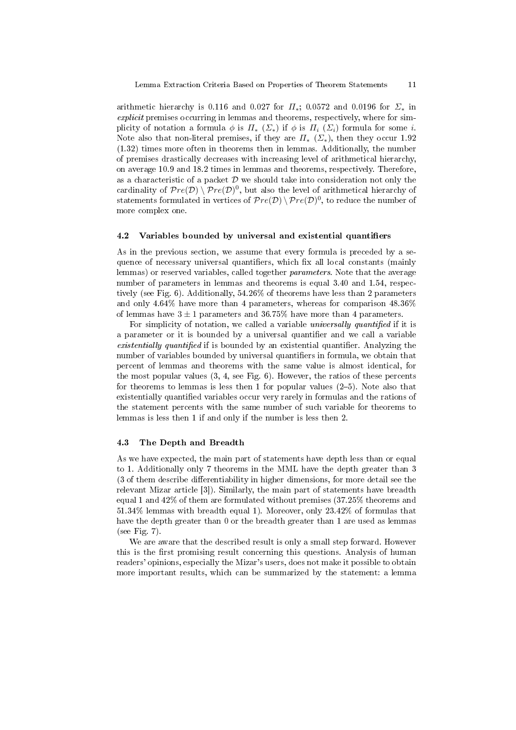arithmetic hierarchy is 0.116 and 0.027 for  $\Pi_*$ ; 0.0572 and 0.0196 for  $\Sigma_*$  in explicit premises occurring in lemmas and theorems, respectively, where for simplicity of notation a formula  $\phi$  is  $\Pi_*$  ( $\Sigma_*$ ) if  $\phi$  is  $\Pi_i$  ( $\Sigma_i$ ) formula for some *i*. Note also that non-literal premises, if they are  $\Pi_{*}$  ( $\Sigma_{*}$ ), then they occur 1.92 (1.32) times more often in theorems then in lemmas. Additionally, the number of premises drastically decreases with increasing level of arithmetical hierarchy, on average 10.9 and 18.2 times in lemmas and theorems, respectively. Therefore, as a characteristic of a packet  $\mathcal D$  we should take into consideration not only the cardinality of  $Pre(\mathcal{D}) \setminus Pre(\mathcal{D})^0$ , but also the level of arithmetical hierarchy of statements formulated in vertices of  $\mathcal Pre(\mathcal D)\setminus \mathcal Pre(\mathcal D)^0,$  to reduce the number of more complex one.

#### 4.2 Variables bounded by universal and existential quantifiers

As in the previous section, we assume that every formula is preceded by a sequence of necessary universal quantifiers, which fix all local constants (mainly lemmas) or reserved variables, called together parameters. Note that the average number of parameters in lemmas and theorems is equal 3.40 and 1.54, respectively (see Fig. 6). Additionally, 54.26% of theorems have less than 2 parameters and only 4.64% have more than 4 parameters, whereas for comparison 48.36% of lemmas have  $3 \pm 1$  parameters and  $36.75\%$  have more than 4 parameters.

For simplicity of notation, we called a variable *universally quantified* if it is a parameter or it is bounded by a universal quantifier and we call a variable existentially quantified if is bounded by an existential quantifier. Analyzing the number of variables bounded by universal quantifiers in formula, we obtain that percent of lemmas and theorems with the same value is almost identical, for the most popular values  $(3, 4, \text{see Fig. 6})$ . However, the ratios of these percents for theorems to lemmas is less then 1 for popular values (25). Note also that existentially quantified variables occur very rarely in formulas and the rations of the statement percents with the same number of such variable for theorems to lemmas is less then 1 if and only if the number is less then 2.

### 4.3 The Depth and Breadth

As we have expected, the main part of statements have depth less than or equal to 1. Additionally only 7 theorems in the MML have the depth greater than 3  $(3$  of them describe differentiability in higher dimensions, for more detail see the relevant Mizar article [3]). Similarly, the main part of statements have breadth equal 1 and 42% of them are formulated without premises (37.25% theorems and 51.34% lemmas with breadth equal 1). Moreover, only 23.42% of formulas that have the depth greater than 0 or the breadth greater than 1 are used as lemmas (see Fig. 7).

We are aware that the described result is only a small step forward. However this is the first promising result concerning this questions. Analysis of human readers' opinions, especially the Mizar's users, does not make it possible to obtain more important results, which can be summarized by the statement: a lemma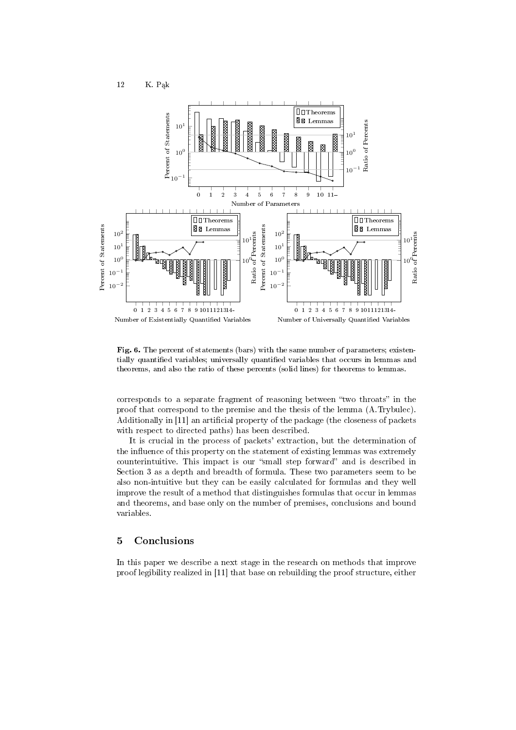12 K. Pąk



Fig. 6. The percent of statements (bars) with the same number of parameters; existentially quantified variables; universally quantified variables that occurs in lemmas and theorems, and also the ratio of these percents (solid lines) for theorems to lemmas.

corresponds to a separate fragment of reasoning between "two throats" in the proof that correspond to the premise and the thesis of the lemma (A.Trybulec). Additionally in [11] an artificial property of the package (the closeness of packets with respect to directed paths) has been described.

It is crucial in the process of packets' extraction, but the determination of the influence of this property on the statement of existing lemmas was extremely counterintuitive. This impact is our "small step forward" and is described in Section 3 as a depth and breadth of formula. These two parameters seem to be also non-intuitive but they can be easily calculated for formulas and they well improve the result of a method that distinguishes formulas that occur in lemmas and theorems, and base only on the number of premises, conclusions and bound variables.

# 5 Conclusions

In this paper we describe a next stage in the research on methods that improve proof legibility realized in [11] that base on rebuilding the proof structure, either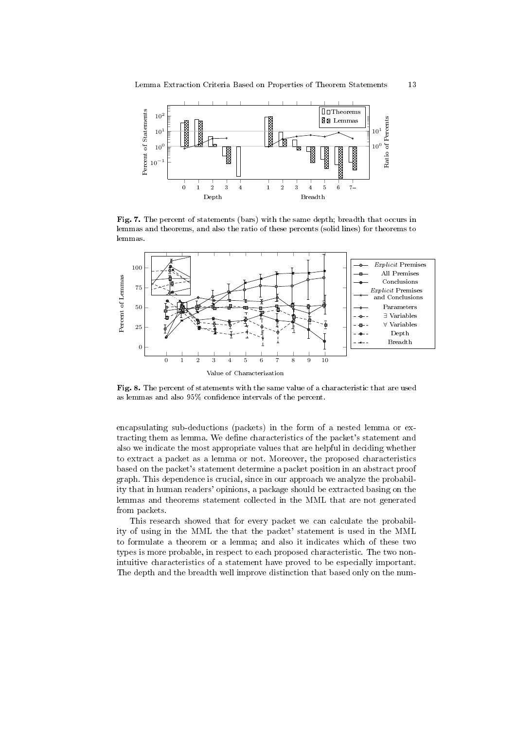

Fig. 7. The percent of statements (bars) with the same depth; breadth that occurs in lemmas and theorems, and also the ratio of these percents (solid lines) for theorems to lemmas.



Fig. 8. The percent of statements with the same value of a characteristic that are used as lemmas and also 95% condence intervals of the percent.

encapsulating sub-deductions (packets) in the form of a nested lemma or extracting them as lemma. We define characteristics of the packet's statement and also we indicate the most appropriate values that are helpful in deciding whether to extract a packet as a lemma or not. Moreover, the proposed characteristics based on the packet's statement determine a packet position in an abstract proof graph. This dependence is crucial, since in our approach we analyze the probability that in human readers' opinions, a package should be extracted basing on the lemmas and theorems statement collected in the MML that are not generated from packets.

This research showed that for every packet we can calculate the probability of using in the MML the that the packet' statement is used in the MML to formulate a theorem or a lemma; and also it indicates which of these two types is more probable, in respect to each proposed characteristic. The two nonintuitive characteristics of a statement have proved to be especially important. The depth and the breadth well improve distinction that based only on the num-